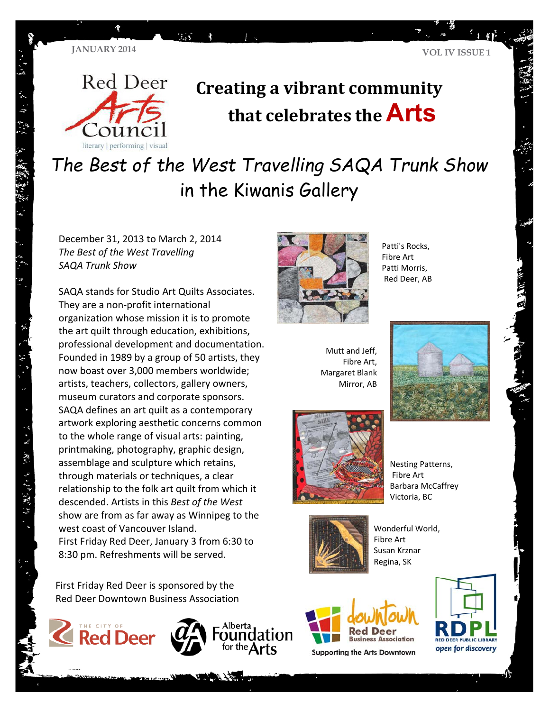

# **Creating a vibrant community that celebrates the Arts**

*The Best of the West Travelling SAQA Trunk Show* in the Kiwanis Gallery

 *The Best of the West Travelling*  December 31, 2013 to March 2, 2014 *SAQA Trunk Show* 

SAQA stands for Studio Art Quilts Associates. They are a non‐profit international organization whose mission it is to promote the art quilt through education, exhibitions, professional development and documentation. Founded in 1989 by a group of 50 artists, they now boast over 3,000 members worldwide; artists, teachers, collectors, gallery owners, museum curators and corporate sponsors. SAQA defines an art quilt as a contemporary artwork exploring aesthetic concerns common to the whole range of visual arts: painting, printmaking, photography, graphic design, assemblage and sculpture which retains, through materials or techniques, a clear relationship to the folk art quilt from which it descended. Artists in this *Best of the West* show are from as far away as Winnipeg to the west coast of Vancouver Island. First Friday Red Deer, January 3 from 6:30 to 8:30 pm. Refreshments will be served.

First Friday Red Deer is sponsored by the Red Deer Downtown Business Association

Alberta



- 25、四、四、字、字、字、



Patti's Rocks, Fibre Art Patti Morris, Red Deer, AB

Mutt and Jeff, Fibre Art, Margaret Blank Mirror, AB



Nesting Patterns, Fibre Art Barbara McCaffrey Victoria, BC



Wonderful World, Fibre Art Susan Krznar Regina, SK



**Supporting the Arts Downtown** 





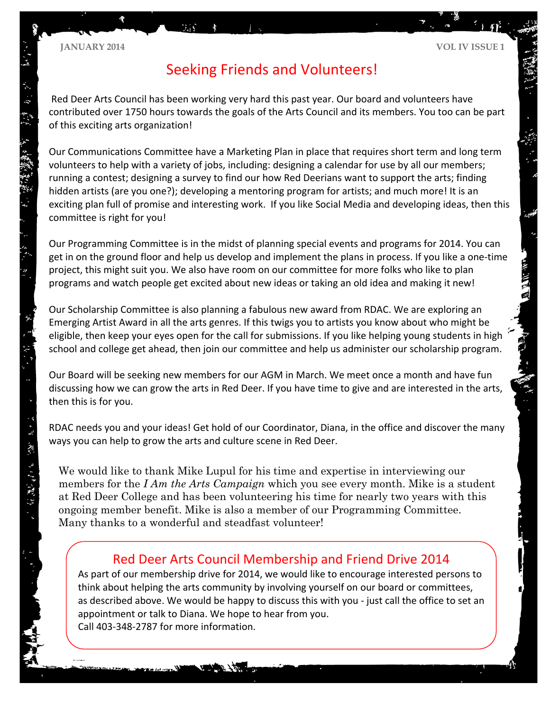"一阵、脚、 马 经产品额 抄

#### **JANUARY 2014 VOL IV ISSUE 1**

# Seeking Friends and Volunteers!

Red Deer Arts Council has been working very hard this past year. Our board and volunteers have contributed over 1750 hours towards the goals of the Arts Council and its members. You too can be part of this exciting arts organization!

Our Communications Committee have a Marketing Plan in place that requires short term and long term volunteers to help with a variety of jobs, including: designing a calendar for use by all our members; running a contest; designing a survey to find our how Red Deerians want to support the arts; finding hidden artists (are you one?); developing a mentoring program for artists; and much more! It is an exciting plan full of promise and interesting work. If you like Social Media and developing ideas, then this committee is right for you!

Our Programming Committee is in the midst of planning special events and programs for 2014. You can get in on the ground floor and help us develop and implement the plans in process. If you like a one‐time project, this might suit you. We also have room on our committee for more folks who like to plan programs and watch people get excited about new ideas or taking an old idea and making it new!

Our Scholarship Committee is also planning a fabulous new award from RDAC. We are exploring an Emerging Artist Award in all the arts genres. If this twigs you to artists you know about who might be eligible, then keep your eyes open for the call for submissions. If you like helping young students in high school and college get ahead, then join our committee and help us administer our scholarship program.

Our Board will be seeking new members for our AGM in March. We meet once a month and have fun discussing how we can grow the arts in Red Deer. If you have time to give and are interested in the arts, then this is for you.

RDAC needs you and your ideas! Get hold of our Coordinator, Diana, in the office and discover the many ways you can help to grow the arts and culture scene in Red Deer.

We would like to thank Mike Lupul for his time and expertise in interviewing our members for the *I Am the Arts Campaign* which you see every month. Mike is a student at Red Deer College and has been volunteering his time for nearly two years with this ongoing member benefit. Mike is also a member of our Programming Committee. Many thanks to a wonderful and steadfast volunteer!

## Red Deer Arts Council Membership and Friend Drive 2014

As part of our membership drive for 2014, we would like to encourage interested persons to think about helping the arts community by involving yourself on our board or committees, as described above. We would be happy to discuss this with you ‐ just call the office to set an appointment or talk to Diana. We hope to hear from you. Call 403‐348‐2787 for more information.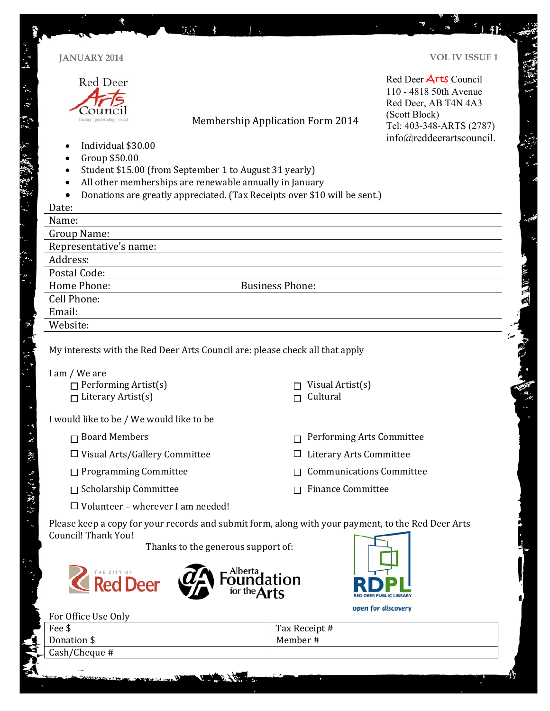|                                          | <b>JANUARY 2014</b>                                                                                                                                                                                                                                                                                  |                                         | <b>VOL IV ISSUE 1</b>                                                                                                |
|------------------------------------------|------------------------------------------------------------------------------------------------------------------------------------------------------------------------------------------------------------------------------------------------------------------------------------------------------|-----------------------------------------|----------------------------------------------------------------------------------------------------------------------|
|                                          | Red Deer<br>literary   performing   visua                                                                                                                                                                                                                                                            | <b>Membership Application Form 2014</b> | Red Deer Arts Council<br>110 - 4818 50th Avenue<br>Red Deer, AB T4N 4A3<br>(Scott Block)<br>Tel: 403-348-ARTS (2787) |
|                                          | info@reddeerartscouncil.<br>Individual \$30.00<br>Group \$50.00<br>Student \$15.00 (from September 1 to August 31 yearly)<br>All other memberships are renewable annually in January<br>$\bullet$<br>Donations are greatly appreciated. (Tax Receipts over \$10 will be sent.)<br>$\bullet$<br>Date: |                                         |                                                                                                                      |
|                                          | Name:                                                                                                                                                                                                                                                                                                |                                         |                                                                                                                      |
|                                          | <b>Group Name:</b>                                                                                                                                                                                                                                                                                   |                                         |                                                                                                                      |
|                                          | Representative's name:                                                                                                                                                                                                                                                                               |                                         |                                                                                                                      |
| Address:                                 |                                                                                                                                                                                                                                                                                                      |                                         |                                                                                                                      |
|                                          | Postal Code:                                                                                                                                                                                                                                                                                         |                                         |                                                                                                                      |
| Home Phone:<br><b>Business Phone:</b>    |                                                                                                                                                                                                                                                                                                      |                                         |                                                                                                                      |
|                                          | Cell Phone:<br>Email:                                                                                                                                                                                                                                                                                |                                         |                                                                                                                      |
|                                          | Website:                                                                                                                                                                                                                                                                                             |                                         |                                                                                                                      |
|                                          | I am / We are<br>$\Box$ Performing Artist(s)<br>$\Box$ Literary Artist(s)                                                                                                                                                                                                                            | Visual Artist(s)<br>Cultural            |                                                                                                                      |
|                                          | I would like to be / We would like to be                                                                                                                                                                                                                                                             |                                         |                                                                                                                      |
|                                          | $\Box$ Board Members                                                                                                                                                                                                                                                                                 |                                         | Performing Arts Committee                                                                                            |
|                                          | $\Box$ Visual Arts/Gallery Committee                                                                                                                                                                                                                                                                 | <b>Literary Arts Committee</b>          |                                                                                                                      |
|                                          | $\Box$ Programming Committee                                                                                                                                                                                                                                                                         |                                         | <b>Communications Committee</b>                                                                                      |
|                                          | $\Box$ Scholarship Committee                                                                                                                                                                                                                                                                         | <b>Finance Committee</b>                |                                                                                                                      |
| $\Box$ Volunteer - wherever I am needed! |                                                                                                                                                                                                                                                                                                      |                                         |                                                                                                                      |
|                                          | Please keep a copy for your records and submit form, along with your payment, to the Red Deer Arts<br>Council! Thank You!<br>Thanks to the generous support of:<br>Alberta<br>THE CITY OF<br><b>Red Deer</b>                                                                                         |                                         |                                                                                                                      |
|                                          |                                                                                                                                                                                                                                                                                                      |                                         | open for discovery                                                                                                   |
|                                          | For Office Use Only                                                                                                                                                                                                                                                                                  |                                         |                                                                                                                      |
|                                          | Fee \$<br>Donation \$                                                                                                                                                                                                                                                                                | Tax Receipt #<br>Member#                |                                                                                                                      |

 $\mathcal{L}_{\mathcal{A}}$ 

Á

---

介

Ŋ